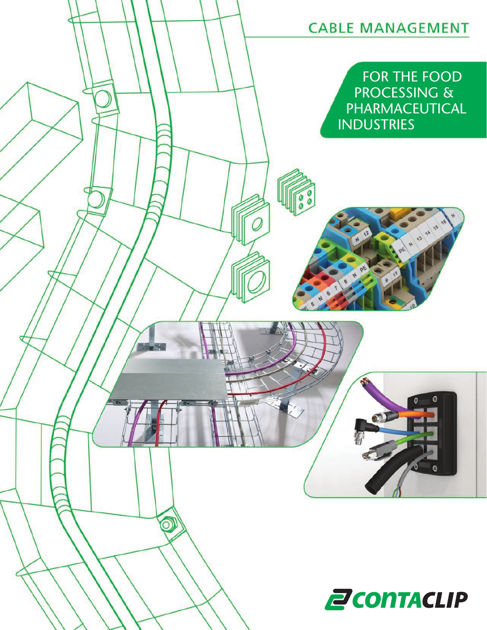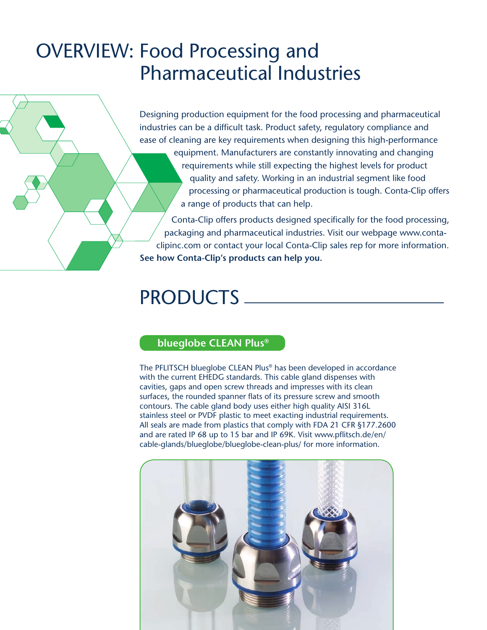# OVERVIEW: Food Processing and Pharmaceutical Industries

Designing production equipment for the food processing and pharmaceutical industries can be a difficult task. Product safety, regulatory compliance and ease of cleaning are key requirements when designing this high-performance equipment. Manufacturers are constantly innovating and changing requirements while still expecting the highest levels for product quality and safety. Working in an industrial segment like food processing or pharmaceutical production is tough. Conta-Clip offers a range of products that can help.

Conta-Clip offers products designed specifically for the food processing, packaging and pharmaceutical industries. Visit our webpage www.contaclipinc.com or contact your local Conta-Clip sales rep for more information. **See how Conta-Clip's products can help you.**

# PRODUCTS

## **blueglobe CLEAN Plus®**

The PFLITSCH blueglobe CLEAN Plus® has been developed in accordance with the current EHEDG standards. This cable gland dispenses with cavities, gaps and open screw threads and impresses with its clean surfaces, the rounded spanner flats of its pressure screw and smooth contours. The cable gland body uses either high quality AISI 316L stainless steel or PVDF plastic to meet exacting industrial requirements. All seals are made from plastics that comply with FDA 21 CFR §177.2600 and are rated IP 68 up to 15 bar and IP 69K. Visit www.pflitsch.de/en/ cable-glands/blueglobe/blueglobe-clean-plus/ for more information.

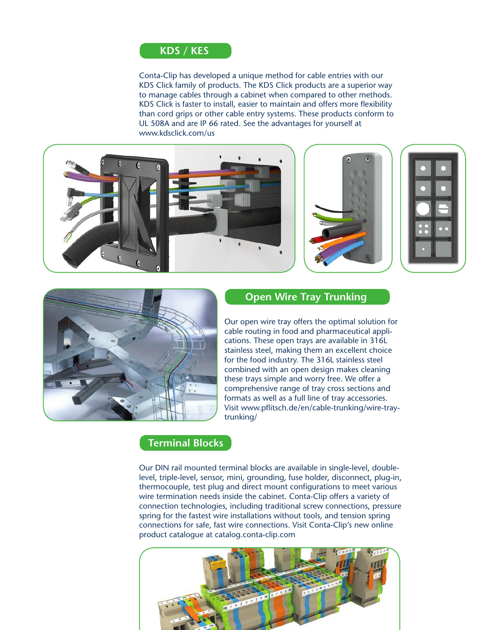

Conta-Clip has developed a unique method for cable entries with our KDS Click family of products. The KDS Click products are a superior way to manage cables through a cabinet when compared to other methods. KDS Click is faster to install, easier to maintain and offers more flexibility than cord grips or other cable entry systems. These products conform to UL 508A and are IP 66 rated. See the advantages for yourself at www.kdsclick.com/us









## **Open Wire Tray Trunking**

Our open wire tray offers the optimal solution for cable routing in food and pharmaceutical applications. These open trays are available in 316L stainless steel, making them an excellent choice for the food industry. The 316L stainless steel combined with an open design makes cleaning these trays simple and worry free. We offer a comprehensive range of tray cross sections and formats as well as a full line of tray accessories. Visit www.pflitsch.de/en/cable-trunking/wire-traytrunking/

#### **Terminal Blocks**

Our DIN rail mounted terminal blocks are available in single-level, doublelevel, triple-level, sensor, mini, grounding, fuse holder, disconnect, plug-in, thermocouple, test plug and direct mount configurations to meet various wire termination needs inside the cabinet. Conta-Clip offers a variety of connection technologies, including traditional screw connections, pressure spring for the fastest wire installations without tools, and tension spring connections for safe, fast wire connections. Visit Conta-Clip's new online product catalogue at catalog.conta-clip.com